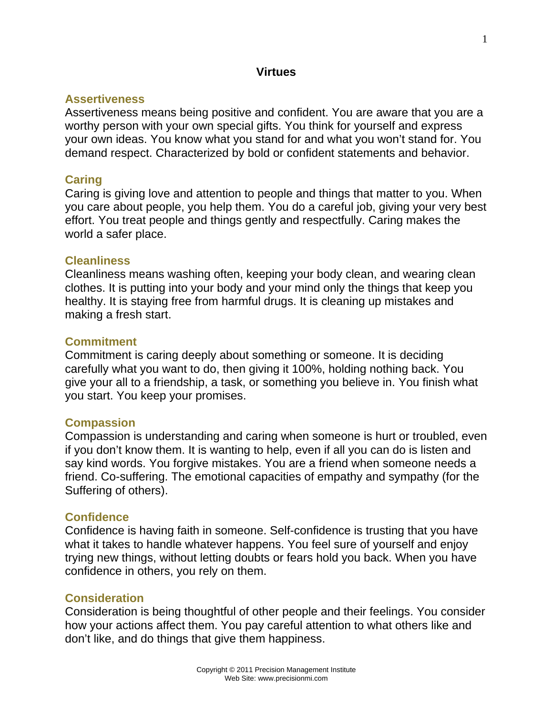### **Virtues**

## **Assertiveness**

Assertiveness means being positive and confident. You are aware that you are a worthy person with your own special gifts. You think for yourself and express your own ideas. You know what you stand for and what you won't stand for. You demand respect. Characterized by bold or confident statements and behavior.

# **Caring**

Caring is giving love and attention to people and things that matter to you. When you care about people, you help them. You do a careful job, giving your very best effort. You treat people and things gently and respectfully. Caring makes the world a safer place.

## **Cleanliness**

Cleanliness means washing often, keeping your body clean, and wearing clean clothes. It is putting into your body and your mind only the things that keep you healthy. It is staying free from harmful drugs. It is cleaning up mistakes and making a fresh start.

# **Commitment**

Commitment is caring deeply about something or someone. It is deciding carefully what you want to do, then giving it 100%, holding nothing back. You give your all to a friendship, a task, or something you believe in. You finish what you start. You keep your promises.

## **Compassion**

Compassion is understanding and caring when someone is hurt or troubled, even if you don't know them. It is wanting to help, even if all you can do is listen and say kind words. You forgive mistakes. You are a friend when someone needs a friend. Co-suffering. The emotional capacities of empathy and sympathy (for the Suffering of others).

## **Confidence**

Confidence is having faith in someone. Self-confidence is trusting that you have what it takes to handle whatever happens. You feel sure of yourself and enjoy trying new things, without letting doubts or fears hold you back. When you have confidence in others, you rely on them.

## **Consideration**

Consideration is being thoughtful of other people and their feelings. You consider how your actions affect them. You pay careful attention to what others like and don't like, and do things that give them happiness.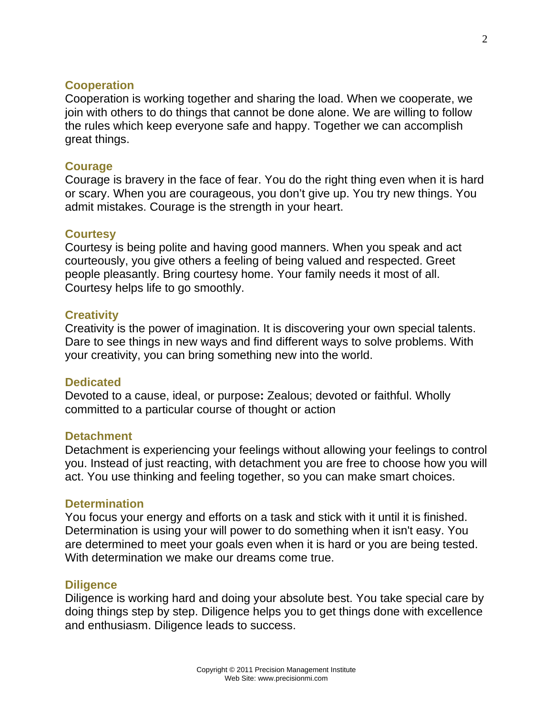# **Cooperation**

Cooperation is working together and sharing the load. When we cooperate, we join with others to do things that cannot be done alone. We are willing to follow the rules which keep everyone safe and happy. Together we can accomplish great things.

## **Courage**

Courage is bravery in the face of fear. You do the right thing even when it is hard or scary. When you are courageous, you don't give up. You try new things. You admit mistakes. Courage is the strength in your heart.

## **Courtesy**

Courtesy is being polite and having good manners. When you speak and act courteously, you give others a feeling of being valued and respected. Greet people pleasantly. Bring courtesy home. Your family needs it most of all. Courtesy helps life to go smoothly.

## **Creativity**

Creativity is the power of imagination. It is discovering your own special talents. Dare to see things in new ways and find different ways to solve problems. With your creativity, you can bring something new into the world.

## **Dedicated**

Devoted to a cause, ideal, or purpose**:** Zealous; devoted or faithful. Wholly committed to a particular course of thought or action

## **Detachment**

Detachment is experiencing your feelings without allowing your feelings to control you. Instead of just reacting, with detachment you are free to choose how you will act. You use thinking and feeling together, so you can make smart choices.

## **Determination**

You focus your energy and efforts on a task and stick with it until it is finished. Determination is using your will power to do something when it isn't easy. You are determined to meet your goals even when it is hard or you are being tested. With determination we make our dreams come true.

## **Diligence**

Diligence is working hard and doing your absolute best. You take special care by doing things step by step. Diligence helps you to get things done with excellence and enthusiasm. Diligence leads to success.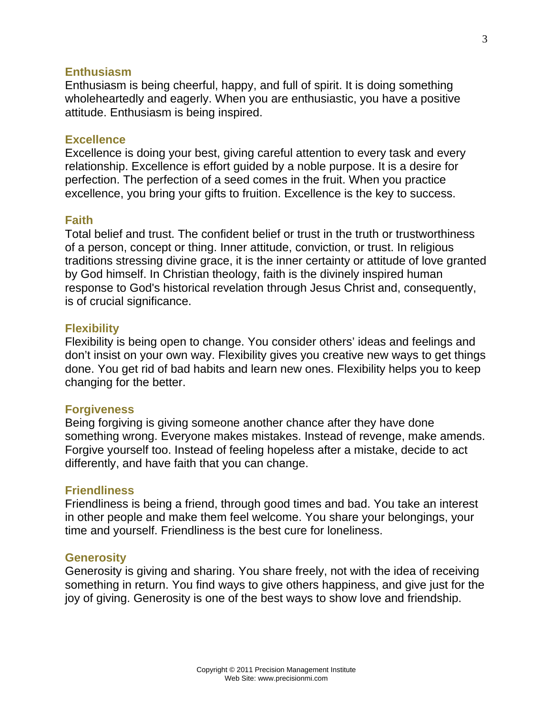### **Enthusiasm**

Enthusiasm is being cheerful, happy, and full of spirit. It is doing something wholeheartedly and eagerly. When you are enthusiastic, you have a positive attitude. Enthusiasm is being inspired.

#### **Excellence**

Excellence is doing your best, giving careful attention to every task and every relationship. Excellence is effort guided by a noble purpose. It is a desire for perfection. The perfection of a seed comes in the fruit. When you practice excellence, you bring your gifts to fruition. Excellence is the key to success.

### **Faith**

Total belief and trust. The confident belief or trust in the truth or trustworthiness of a person, concept or thing. Inner attitude, conviction, or trust. In religious traditions stressing divine grace, it is the inner certainty or attitude of love granted by God himself. In Christian theology, faith is the divinely inspired human response to God's historical revelation through Jesus Christ and, consequently, is of crucial significance.

#### **Flexibility**

Flexibility is being open to change. You consider others' ideas and feelings and don't insist on your own way. Flexibility gives you creative new ways to get things done. You get rid of bad habits and learn new ones. Flexibility helps you to keep changing for the better.

#### **Forgiveness**

Being forgiving is giving someone another chance after they have done something wrong. Everyone makes mistakes. Instead of revenge, make amends. Forgive yourself too. Instead of feeling hopeless after a mistake, decide to act differently, and have faith that you can change.

### **Friendliness**

Friendliness is being a friend, through good times and bad. You take an interest in other people and make them feel welcome. You share your belongings, your time and yourself. Friendliness is the best cure for loneliness.

### **Generosity**

Generosity is giving and sharing. You share freely, not with the idea of receiving something in return. You find ways to give others happiness, and give just for the joy of giving. Generosity is one of the best ways to show love and friendship.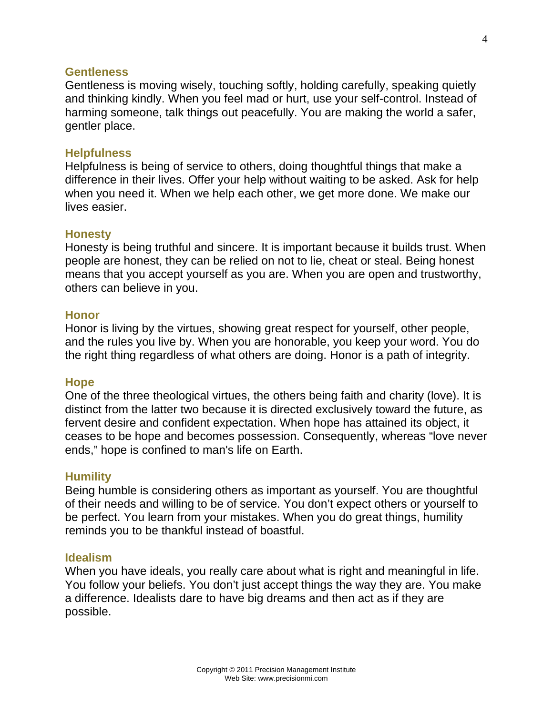## **Gentleness**

Gentleness is moving wisely, touching softly, holding carefully, speaking quietly and thinking kindly. When you feel mad or hurt, use your self-control. Instead of harming someone, talk things out peacefully. You are making the world a safer, gentler place.

## **Helpfulness**

Helpfulness is being of service to others, doing thoughtful things that make a difference in their lives. Offer your help without waiting to be asked. Ask for help when you need it. When we help each other, we get more done. We make our lives easier.

# **Honesty**

Honesty is being truthful and sincere. It is important because it builds trust. When people are honest, they can be relied on not to lie, cheat or steal. Being honest means that you accept yourself as you are. When you are open and trustworthy, others can believe in you.

## **Honor**

Honor is living by the virtues, showing great respect for yourself, other people, and the rules you live by. When you are honorable, you keep your word. You do the right thing regardless of what others are doing. Honor is a path of integrity.

## **Hope**

One of the three theological virtues, the others being faith and charity (love). It is distinct from the latter two because it is directed exclusively toward the future, as fervent desire and confident expectation. When hope has attained its object, it ceases to be hope and becomes possession. Consequently, whereas "love never ends," hope is confined to man's life on Earth.

## **Humility**

Being humble is considering others as important as yourself. You are thoughtful of their needs and willing to be of service. You don't expect others or yourself to be perfect. You learn from your mistakes. When you do great things, humility reminds you to be thankful instead of boastful.

## **Idealism**

When you have ideals, you really care about what is right and meaningful in life. You follow your beliefs. You don't just accept things the way they are. You make a difference. Idealists dare to have big dreams and then act as if they are possible.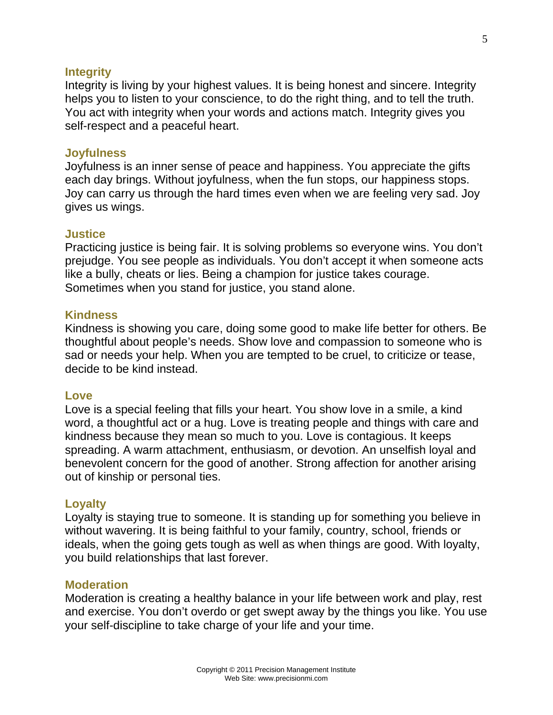### **Integrity**

Integrity is living by your highest values. It is being honest and sincere. Integrity helps you to listen to your conscience, to do the right thing, and to tell the truth. You act with integrity when your words and actions match. Integrity gives you self-respect and a peaceful heart.

#### **Joyfulness**

Joyfulness is an inner sense of peace and happiness. You appreciate the gifts each day brings. Without joyfulness, when the fun stops, our happiness stops. Joy can carry us through the hard times even when we are feeling very sad. Joy gives us wings.

#### **Justice**

Practicing justice is being fair. It is solving problems so everyone wins. You don't prejudge. You see people as individuals. You don't accept it when someone acts like a bully, cheats or lies. Being a champion for justice takes courage. Sometimes when you stand for justice, you stand alone.

### **Kindness**

Kindness is showing you care, doing some good to make life better for others. Be thoughtful about people's needs. Show love and compassion to someone who is sad or needs your help. When you are tempted to be cruel, to criticize or tease, decide to be kind instead.

#### **Love**

Love is a special feeling that fills your heart. You show love in a smile, a kind word, a thoughtful act or a hug. Love is treating people and things with care and kindness because they mean so much to you. Love is contagious. It keeps spreading. A warm attachment, enthusiasm, or devotion. An unselfish loyal and benevolent concern for the good of another. Strong affection for another arising out of kinship or personal ties.

#### **Loyalty**

Loyalty is staying true to someone. It is standing up for something you believe in without wavering. It is being faithful to your family, country, school, friends or ideals, when the going gets tough as well as when things are good. With loyalty, you build relationships that last forever.

#### **Moderation**

Moderation is creating a healthy balance in your life between work and play, rest and exercise. You don't overdo or get swept away by the things you like. You use your self-discipline to take charge of your life and your time.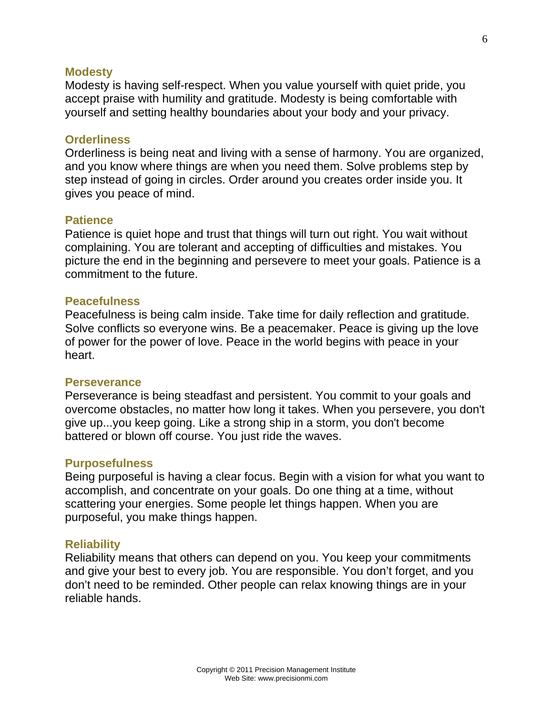## **Modesty**

Modesty is having self-respect. When you value yourself with quiet pride, you accept praise with humility and gratitude. Modesty is being comfortable with yourself and setting healthy boundaries about your body and your privacy.

#### **Orderliness**

Orderliness is being neat and living with a sense of harmony. You are organized, and you know where things are when you need them. Solve problems step by step instead of going in circles. Order around you creates order inside you. It gives you peace of mind.

#### **Patience**

Patience is quiet hope and trust that things will turn out right. You wait without complaining. You are tolerant and accepting of difficulties and mistakes. You picture the end in the beginning and persevere to meet your goals. Patience is a commitment to the future.

#### **Peacefulness**

Peacefulness is being calm inside. Take time for daily reflection and gratitude. Solve conflicts so everyone wins. Be a peacemaker. Peace is giving up the love of power for the power of love. Peace in the world begins with peace in your heart.

#### **Perseverance**

Perseverance is being steadfast and persistent. You commit to your goals and overcome obstacles, no matter how long it takes. When you persevere, you don't give up...you keep going. Like a strong ship in a storm, you don't become battered or blown off course. You just ride the waves.

#### **Purposefulness**

Being purposeful is having a clear focus. Begin with a vision for what you want to accomplish, and concentrate on your goals. Do one thing at a time, without scattering your energies. Some people let things happen. When you are purposeful, you make things happen.

#### **Reliability**

Reliability means that others can depend on you. You keep your commitments and give your best to every job. You are responsible. You don't forget, and you don't need to be reminded. Other people can relax knowing things are in your reliable hands.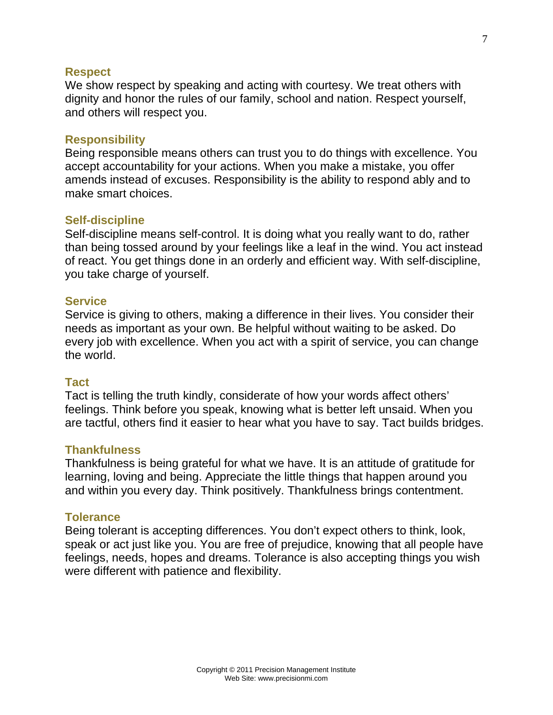### **Respect**

We show respect by speaking and acting with courtesy. We treat others with dignity and honor the rules of our family, school and nation. Respect yourself, and others will respect you.

#### **Responsibility**

Being responsible means others can trust you to do things with excellence. You accept accountability for your actions. When you make a mistake, you offer amends instead of excuses. Responsibility is the ability to respond ably and to make smart choices.

#### **Self-discipline**

Self-discipline means self-control. It is doing what you really want to do, rather than being tossed around by your feelings like a leaf in the wind. You act instead of react. You get things done in an orderly and efficient way. With self-discipline, you take charge of yourself.

#### **Service**

Service is giving to others, making a difference in their lives. You consider their needs as important as your own. Be helpful without waiting to be asked. Do every job with excellence. When you act with a spirit of service, you can change the world.

#### **Tact**

Tact is telling the truth kindly, considerate of how your words affect others' feelings. Think before you speak, knowing what is better left unsaid. When you are tactful, others find it easier to hear what you have to say. Tact builds bridges.

#### **Thankfulness**

Thankfulness is being grateful for what we have. It is an attitude of gratitude for learning, loving and being. Appreciate the little things that happen around you and within you every day. Think positively. Thankfulness brings contentment.

#### **Tolerance**

Being tolerant is accepting differences. You don't expect others to think, look, speak or act just like you. You are free of prejudice, knowing that all people have feelings, needs, hopes and dreams. Tolerance is also accepting things you wish were different with patience and flexibility.